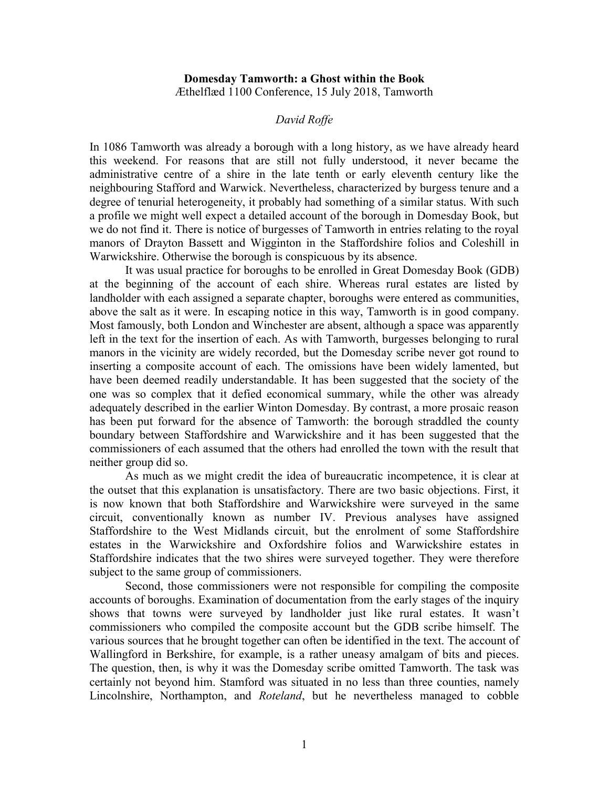## **Domesday Tamworth: a Ghost within the Book**  Æthelflæd 1100 Conference, 15 July 2018, Tamworth

## *David Roffe*

In 1086 Tamworth was already a borough with a long history, as we have already heard this weekend. For reasons that are still not fully understood, it never became the administrative centre of a shire in the late tenth or early eleventh century like the neighbouring Stafford and Warwick. Nevertheless, characterized by burgess tenure and a degree of tenurial heterogeneity, it probably had something of a similar status. With such a profile we might well expect a detailed account of the borough in Domesday Book, but we do not find it. There is notice of burgesses of Tamworth in entries relating to the royal manors of Drayton Bassett and Wigginton in the Staffordshire folios and Coleshill in Warwickshire. Otherwise the borough is conspicuous by its absence.

It was usual practice for boroughs to be enrolled in Great Domesday Book (GDB) at the beginning of the account of each shire. Whereas rural estates are listed by landholder with each assigned a separate chapter, boroughs were entered as communities, above the salt as it were. In escaping notice in this way, Tamworth is in good company. Most famously, both London and Winchester are absent, although a space was apparently left in the text for the insertion of each. As with Tamworth, burgesses belonging to rural manors in the vicinity are widely recorded, but the Domesday scribe never got round to inserting a composite account of each. The omissions have been widely lamented, but have been deemed readily understandable. It has been suggested that the society of the one was so complex that it defied economical summary, while the other was already adequately described in the earlier Winton Domesday. By contrast, a more prosaic reason has been put forward for the absence of Tamworth: the borough straddled the county boundary between Staffordshire and Warwickshire and it has been suggested that the commissioners of each assumed that the others had enrolled the town with the result that neither group did so.

As much as we might credit the idea of bureaucratic incompetence, it is clear at the outset that this explanation is unsatisfactory. There are two basic objections. First, it is now known that both Staffordshire and Warwickshire were surveyed in the same circuit, conventionally known as number IV. Previous analyses have assigned Staffordshire to the West Midlands circuit, but the enrolment of some Staffordshire estates in the Warwickshire and Oxfordshire folios and Warwickshire estates in Staffordshire indicates that the two shires were surveyed together. They were therefore subject to the same group of commissioners.

Second, those commissioners were not responsible for compiling the composite accounts of boroughs. Examination of documentation from the early stages of the inquiry shows that towns were surveyed by landholder just like rural estates. It wasn't commissioners who compiled the composite account but the GDB scribe himself. The various sources that he brought together can often be identified in the text. The account of Wallingford in Berkshire, for example, is a rather uneasy amalgam of bits and pieces. The question, then, is why it was the Domesday scribe omitted Tamworth. The task was certainly not beyond him. Stamford was situated in no less than three counties, namely Lincolnshire, Northampton, and *Roteland*, but he nevertheless managed to cobble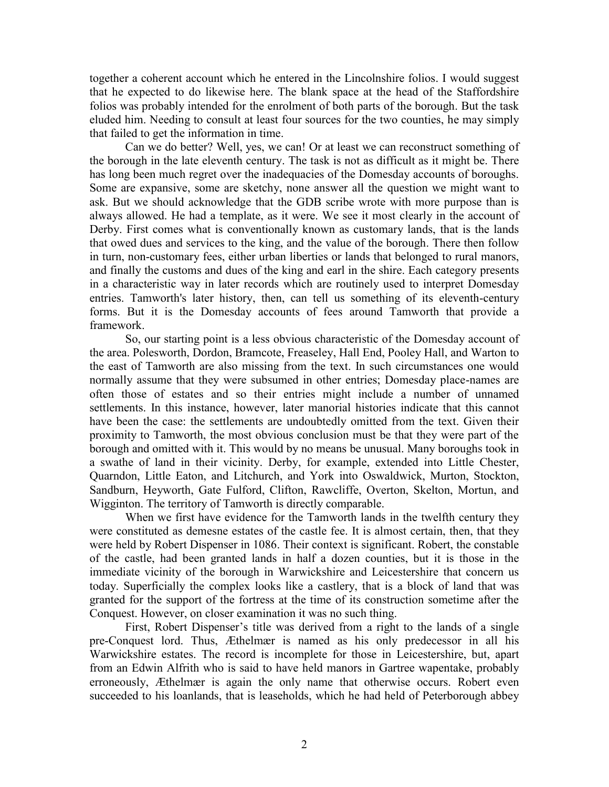together a coherent account which he entered in the Lincolnshire folios. I would suggest that he expected to do likewise here. The blank space at the head of the Staffordshire folios was probably intended for the enrolment of both parts of the borough. But the task eluded him. Needing to consult at least four sources for the two counties, he may simply that failed to get the information in time.

Can we do better? Well, yes, we can! Or at least we can reconstruct something of the borough in the late eleventh century. The task is not as difficult as it might be. There has long been much regret over the inadequacies of the Domesday accounts of boroughs. Some are expansive, some are sketchy, none answer all the question we might want to ask. But we should acknowledge that the GDB scribe wrote with more purpose than is always allowed. He had a template, as it were. We see it most clearly in the account of Derby. First comes what is conventionally known as customary lands, that is the lands that owed dues and services to the king, and the value of the borough. There then follow in turn, non-customary fees, either urban liberties or lands that belonged to rural manors, and finally the customs and dues of the king and earl in the shire. Each category presents in a characteristic way in later records which are routinely used to interpret Domesday entries. Tamworth's later history, then, can tell us something of its eleventh-century forms. But it is the Domesday accounts of fees around Tamworth that provide a framework.

So, our starting point is a less obvious characteristic of the Domesday account of the area. Polesworth, Dordon, Bramcote, Freaseley, Hall End, Pooley Hall, and Warton to the east of Tamworth are also missing from the text. In such circumstances one would normally assume that they were subsumed in other entries; Domesday place-names are often those of estates and so their entries might include a number of unnamed settlements. In this instance, however, later manorial histories indicate that this cannot have been the case: the settlements are undoubtedly omitted from the text. Given their proximity to Tamworth, the most obvious conclusion must be that they were part of the borough and omitted with it. This would by no means be unusual. Many boroughs took in a swathe of land in their vicinity. Derby, for example, extended into Little Chester, Quarndon, Little Eaton, and Litchurch, and York into Oswaldwick, Murton, Stockton, Sandburn, Heyworth, Gate Fulford, Clifton, Rawcliffe, Overton, Skelton, Mortun, and Wigginton. The territory of Tamworth is directly comparable.

When we first have evidence for the Tamworth lands in the twelfth century they were constituted as demesne estates of the castle fee. It is almost certain, then, that they were held by Robert Dispenser in 1086. Their context is significant. Robert, the constable of the castle, had been granted lands in half a dozen counties, but it is those in the immediate vicinity of the borough in Warwickshire and Leicestershire that concern us today. Superficially the complex looks like a castlery, that is a block of land that was granted for the support of the fortress at the time of its construction sometime after the Conquest. However, on closer examination it was no such thing.

First, Robert Dispenser's title was derived from a right to the lands of a single pre-Conquest lord. Thus, Æthelmær is named as his only predecessor in all his Warwickshire estates. The record is incomplete for those in Leicestershire, but, apart from an Edwin Alfrith who is said to have held manors in Gartree wapentake, probably erroneously, Æthelmær is again the only name that otherwise occurs. Robert even succeeded to his loanlands, that is leaseholds, which he had held of Peterborough abbey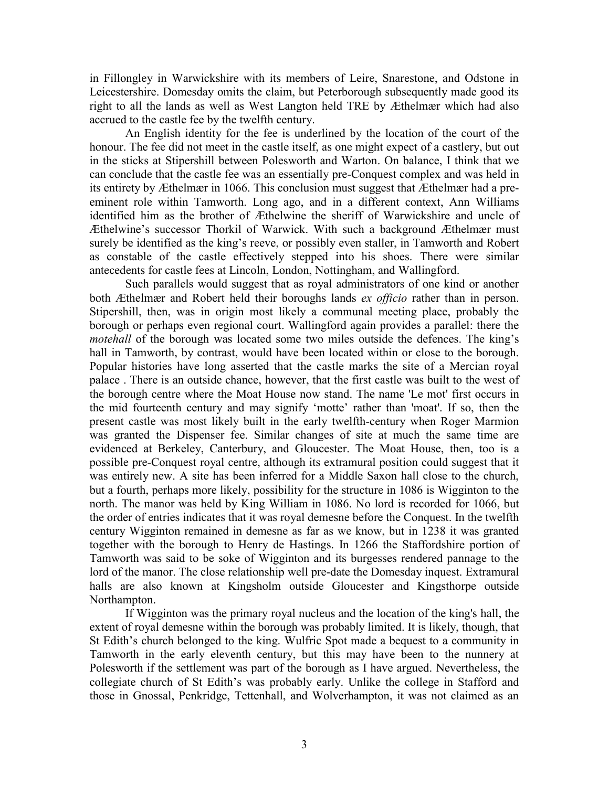in Fillongley in Warwickshire with its members of Leire, Snarestone, and Odstone in Leicestershire. Domesday omits the claim, but Peterborough subsequently made good its right to all the lands as well as West Langton held TRE by Æthelmær which had also accrued to the castle fee by the twelfth century.

An English identity for the fee is underlined by the location of the court of the honour. The fee did not meet in the castle itself, as one might expect of a castlery, but out in the sticks at Stipershill between Polesworth and Warton. On balance, I think that we can conclude that the castle fee was an essentially pre-Conquest complex and was held in its entirety by Æthelmær in 1066. This conclusion must suggest that Æthelmær had a preeminent role within Tamworth. Long ago, and in a different context, Ann Williams identified him as the brother of Æthelwine the sheriff of Warwickshire and uncle of Æthelwine's successor Thorkil of Warwick. With such a background Æthelmær must surely be identified as the king's reeve, or possibly even staller, in Tamworth and Robert as constable of the castle effectively stepped into his shoes. There were similar antecedents for castle fees at Lincoln, London, Nottingham, and Wallingford.

Such parallels would suggest that as royal administrators of one kind or another both Æthelmær and Robert held their boroughs lands *ex officio* rather than in person. Stipershill, then, was in origin most likely a communal meeting place, probably the borough or perhaps even regional court. Wallingford again provides a parallel: there the *motehall* of the borough was located some two miles outside the defences. The king's hall in Tamworth, by contrast, would have been located within or close to the borough. Popular histories have long asserted that the castle marks the site of a Mercian royal palace . There is an outside chance, however, that the first castle was built to the west of the borough centre where the Moat House now stand. The name 'Le mot' first occurs in the mid fourteenth century and may signify 'motte' rather than 'moat'. If so, then the present castle was most likely built in the early twelfth-century when Roger Marmion was granted the Dispenser fee. Similar changes of site at much the same time are evidenced at Berkeley, Canterbury, and Gloucester. The Moat House, then, too is a possible pre-Conquest royal centre, although its extramural position could suggest that it was entirely new. A site has been inferred for a Middle Saxon hall close to the church, but a fourth, perhaps more likely, possibility for the structure in 1086 is Wigginton to the north. The manor was held by King William in 1086. No lord is recorded for 1066, but the order of entries indicates that it was royal demesne before the Conquest. In the twelfth century Wigginton remained in demesne as far as we know, but in 1238 it was granted together with the borough to Henry de Hastings. In 1266 the Staffordshire portion of Tamworth was said to be soke of Wigginton and its burgesses rendered pannage to the lord of the manor. The close relationship well pre-date the Domesday inquest. Extramural halls are also known at Kingsholm outside Gloucester and Kingsthorpe outside Northampton.

If Wigginton was the primary royal nucleus and the location of the king's hall, the extent of royal demesne within the borough was probably limited. It is likely, though, that St Edith's church belonged to the king. Wulfric Spot made a bequest to a community in Tamworth in the early eleventh century, but this may have been to the nunnery at Polesworth if the settlement was part of the borough as I have argued. Nevertheless, the collegiate church of St Edith's was probably early. Unlike the college in Stafford and those in Gnossal, Penkridge, Tettenhall, and Wolverhampton, it was not claimed as an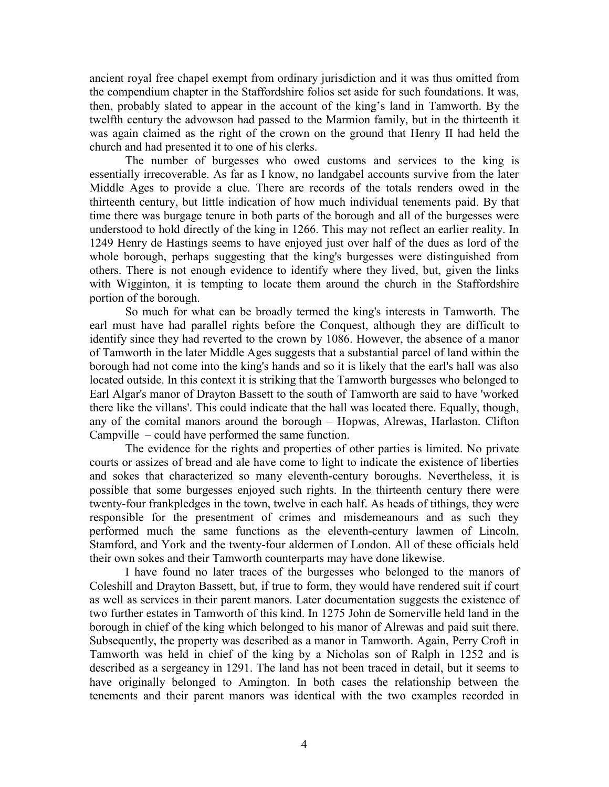ancient royal free chapel exempt from ordinary jurisdiction and it was thus omitted from the compendium chapter in the Staffordshire folios set aside for such foundations. It was, then, probably slated to appear in the account of the king's land in Tamworth. By the twelfth century the advowson had passed to the Marmion family, but in the thirteenth it was again claimed as the right of the crown on the ground that Henry II had held the church and had presented it to one of his clerks.

The number of burgesses who owed customs and services to the king is essentially irrecoverable. As far as I know, no landgabel accounts survive from the later Middle Ages to provide a clue. There are records of the totals renders owed in the thirteenth century, but little indication of how much individual tenements paid. By that time there was burgage tenure in both parts of the borough and all of the burgesses were understood to hold directly of the king in 1266. This may not reflect an earlier reality. In 1249 Henry de Hastings seems to have enjoyed just over half of the dues as lord of the whole borough, perhaps suggesting that the king's burgesses were distinguished from others. There is not enough evidence to identify where they lived, but, given the links with Wigginton, it is tempting to locate them around the church in the Staffordshire portion of the borough.

So much for what can be broadly termed the king's interests in Tamworth. The earl must have had parallel rights before the Conquest, although they are difficult to identify since they had reverted to the crown by 1086. However, the absence of a manor of Tamworth in the later Middle Ages suggests that a substantial parcel of land within the borough had not come into the king's hands and so it is likely that the earl's hall was also located outside. In this context it is striking that the Tamworth burgesses who belonged to Earl Algar's manor of Drayton Bassett to the south of Tamworth are said to have 'worked there like the villans'. This could indicate that the hall was located there. Equally, though, any of the comital manors around the borough – Hopwas, Alrewas, Harlaston. Clifton Campville – could have performed the same function.

The evidence for the rights and properties of other parties is limited. No private courts or assizes of bread and ale have come to light to indicate the existence of liberties and sokes that characterized so many eleventh-century boroughs. Nevertheless, it is possible that some burgesses enjoyed such rights. In the thirteenth century there were twenty-four frankpledges in the town, twelve in each half. As heads of tithings, they were responsible for the presentment of crimes and misdemeanours and as such they performed much the same functions as the eleventh-century lawmen of Lincoln, Stamford, and York and the twenty-four aldermen of London. All of these officials held their own sokes and their Tamworth counterparts may have done likewise.

I have found no later traces of the burgesses who belonged to the manors of Coleshill and Drayton Bassett, but, if true to form, they would have rendered suit if court as well as services in their parent manors. Later documentation suggests the existence of two further estates in Tamworth of this kind. In 1275 John de Somerville held land in the borough in chief of the king which belonged to his manor of Alrewas and paid suit there. Subsequently, the property was described as a manor in Tamworth. Again, Perry Croft in Tamworth was held in chief of the king by a Nicholas son of Ralph in 1252 and is described as a sergeancy in 1291. The land has not been traced in detail, but it seems to have originally belonged to Amington. In both cases the relationship between the tenements and their parent manors was identical with the two examples recorded in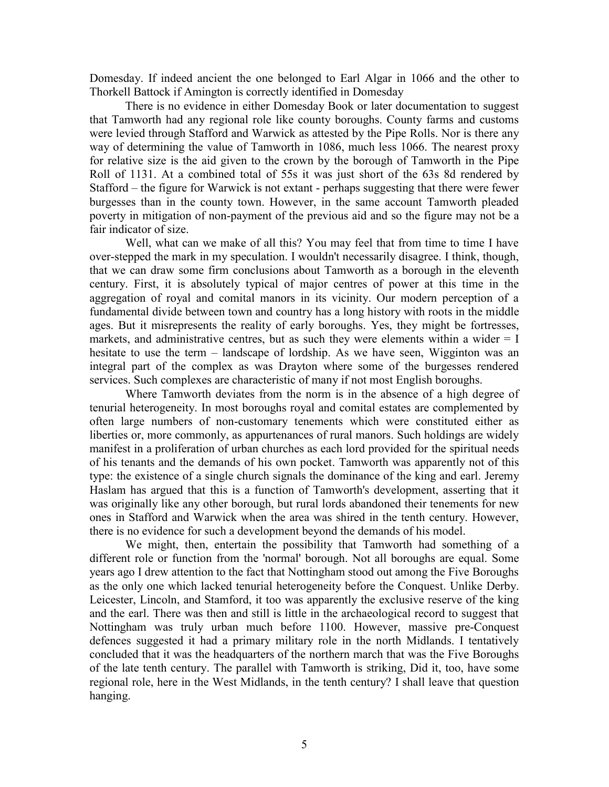Domesday. If indeed ancient the one belonged to Earl Algar in 1066 and the other to Thorkell Battock if Amington is correctly identified in Domesday

There is no evidence in either Domesday Book or later documentation to suggest that Tamworth had any regional role like county boroughs. County farms and customs were levied through Stafford and Warwick as attested by the Pipe Rolls. Nor is there any way of determining the value of Tamworth in 1086, much less 1066. The nearest proxy for relative size is the aid given to the crown by the borough of Tamworth in the Pipe Roll of 1131. At a combined total of 55s it was just short of the 63s 8d rendered by Stafford – the figure for Warwick is not extant - perhaps suggesting that there were fewer burgesses than in the county town. However, in the same account Tamworth pleaded poverty in mitigation of non-payment of the previous aid and so the figure may not be a fair indicator of size.

Well, what can we make of all this? You may feel that from time to time I have over-stepped the mark in my speculation. I wouldn't necessarily disagree. I think, though, that we can draw some firm conclusions about Tamworth as a borough in the eleventh century. First, it is absolutely typical of major centres of power at this time in the aggregation of royal and comital manors in its vicinity. Our modern perception of a fundamental divide between town and country has a long history with roots in the middle ages. But it misrepresents the reality of early boroughs. Yes, they might be fortresses, markets, and administrative centres, but as such they were elements within a wider  $= I$ hesitate to use the term – landscape of lordship. As we have seen, Wigginton was an integral part of the complex as was Drayton where some of the burgesses rendered services. Such complexes are characteristic of many if not most English boroughs.

Where Tamworth deviates from the norm is in the absence of a high degree of tenurial heterogeneity. In most boroughs royal and comital estates are complemented by often large numbers of non-customary tenements which were constituted either as liberties or, more commonly, as appurtenances of rural manors. Such holdings are widely manifest in a proliferation of urban churches as each lord provided for the spiritual needs of his tenants and the demands of his own pocket. Tamworth was apparently not of this type: the existence of a single church signals the dominance of the king and earl. Jeremy Haslam has argued that this is a function of Tamworth's development, asserting that it was originally like any other borough, but rural lords abandoned their tenements for new ones in Stafford and Warwick when the area was shired in the tenth century. However, there is no evidence for such a development beyond the demands of his model.

We might, then, entertain the possibility that Tamworth had something of a different role or function from the 'normal' borough. Not all boroughs are equal. Some years ago I drew attention to the fact that Nottingham stood out among the Five Boroughs as the only one which lacked tenurial heterogeneity before the Conquest. Unlike Derby. Leicester, Lincoln, and Stamford, it too was apparently the exclusive reserve of the king and the earl. There was then and still is little in the archaeological record to suggest that Nottingham was truly urban much before 1100. However, massive pre-Conquest defences suggested it had a primary military role in the north Midlands. I tentatively concluded that it was the headquarters of the northern march that was the Five Boroughs of the late tenth century. The parallel with Tamworth is striking, Did it, too, have some regional role, here in the West Midlands, in the tenth century? I shall leave that question hanging.